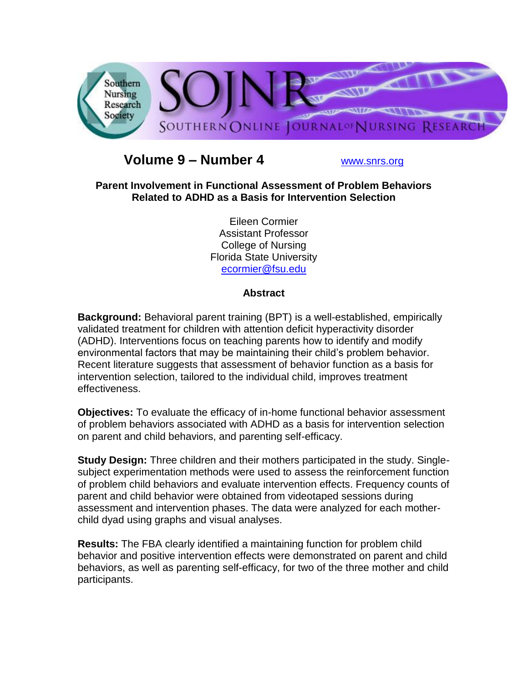

# **Volume 9 – Number 4** [www.snrs.org](http://www.snrs.org/)

**Parent Involvement in Functional Assessment of Problem Behaviors Related to ADHD as a Basis for Intervention Selection**

> Eileen Cormier Assistant Professor College of Nursing Florida State University [ecormier@fsu.edu](mailto:ecormier@fsu.edu)

#### **Abstract**

**Background:** Behavioral parent training (BPT) is a well-established, empirically validated treatment for children with attention deficit hyperactivity disorder (ADHD). Interventions focus on teaching parents how to identify and modify environmental factors that may be maintaining their child's problem behavior. Recent literature suggests that assessment of behavior function as a basis for intervention selection, tailored to the individual child, improves treatment effectiveness.

**Objectives:** To evaluate the efficacy of in-home functional behavior assessment of problem behaviors associated with ADHD as a basis for intervention selection on parent and child behaviors, and parenting self-efficacy.

**Study Design:** Three children and their mothers participated in the study. Singlesubject experimentation methods were used to assess the reinforcement function of problem child behaviors and evaluate intervention effects. Frequency counts of parent and child behavior were obtained from videotaped sessions during assessment and intervention phases. The data were analyzed for each motherchild dyad using graphs and visual analyses.

**Results:** The FBA clearly identified a maintaining function for problem child behavior and positive intervention effects were demonstrated on parent and child behaviors, as well as parenting self-efficacy, for two of the three mother and child participants.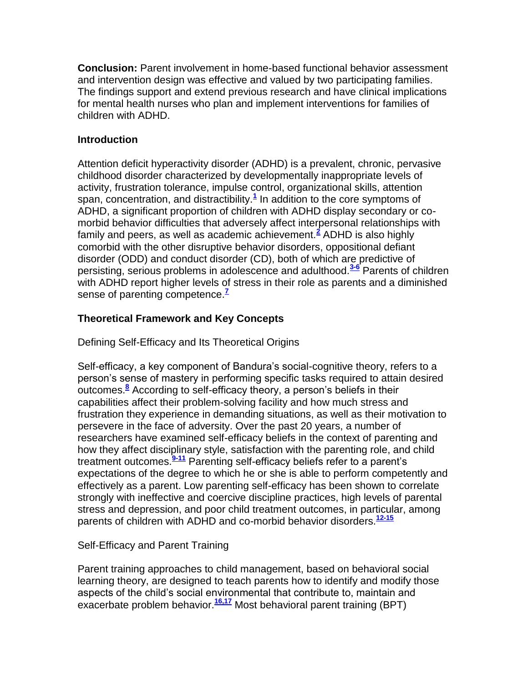**Conclusion:** Parent involvement in home-based functional behavior assessment and intervention design was effective and valued by two participating families. The findings support and extend previous research and have clinical implications for mental health nurses who plan and implement interventions for families of children with ADHD.

# **Introduction**

Attention deficit hyperactivity disorder (ADHD) is a prevalent, chronic, pervasive childhood disorder characterized by developmentally inappropriate levels of activity, frustration tolerance, impulse control, organizational skills, attention span, concentration, and distractibility.**[1](http://snrs.org/publications/SOJNR_articles2/n)** In addition to the core symptoms of ADHD, a significant proportion of children with ADHD display secondary or comorbid behavior difficulties that adversely affect interpersonal relationships with family and peers, as well as academic achievement.**[2](http://snrs.org/publications/SOJNR_articles2/n)** ADHD is also highly comorbid with the other disruptive behavior disorders, oppositional defiant disorder (ODD) and conduct disorder (CD), both of which are predictive of persisting, serious problems in adolescence and adulthood.**[3-6](http://snrs.org/publications/SOJNR_articles2/n)** Parents of children with ADHD report higher levels of stress in their role as parents and a diminished sense of parenting competence.**[7](http://snrs.org/publications/SOJNR_articles2/n)**

# **Theoretical Framework and Key Concepts**

Defining Self-Efficacy and Its Theoretical Origins

Self-efficacy, a key component of Bandura's social-cognitive theory, refers to a person's sense of mastery in performing specific tasks required to attain desired outcomes.**[8](http://snrs.org/publications/SOJNR_articles2/n)** According to self-efficacy theory, a person's beliefs in their capabilities affect their problem-solving facility and how much stress and frustration they experience in demanding situations, as well as their motivation to persevere in the face of adversity. Over the past 20 years, a number of researchers have examined self-efficacy beliefs in the context of parenting and how they affect disciplinary style, satisfaction with the parenting role, and child treatment outcomes.**[9-11](http://snrs.org/publications/SOJNR_articles2/n)** Parenting self-efficacy beliefs refer to a parent's expectations of the degree to which he or she is able to perform competently and effectively as a parent. Low parenting self-efficacy has been shown to correlate strongly with ineffective and coercive discipline practices, high levels of parental stress and depression, and poor child treatment outcomes, in particular, among parents of children with ADHD and co-morbid behavior disorders.**[12-15](http://snrs.org/publications/SOJNR_articles2/n)**

# Self-Efficacy and Parent Training

Parent training approaches to child management, based on behavioral social learning theory, are designed to teach parents how to identify and modify those aspects of the child's social environmental that contribute to, maintain and exacerbate problem behavior.**[16,17](http://snrs.org/publications/SOJNR_articles2/n)** Most behavioral parent training (BPT)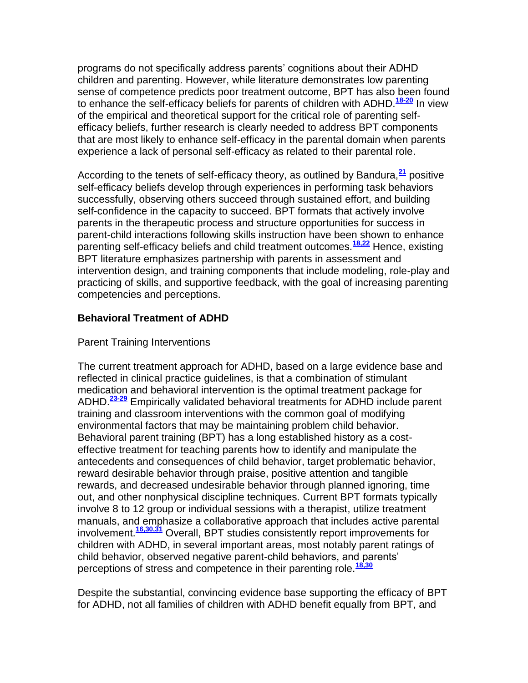programs do not specifically address parents' cognitions about their ADHD children and parenting. However, while literature demonstrates low parenting sense of competence predicts poor treatment outcome, BPT has also been found to enhance the self-efficacy beliefs for parents of children with ADHD.**[18-20](http://snrs.org/publications/SOJNR_articles2/n)** In view of the empirical and theoretical support for the critical role of parenting selfefficacy beliefs, further research is clearly needed to address BPT components that are most likely to enhance self-efficacy in the parental domain when parents experience a lack of personal self-efficacy as related to their parental role.

According to the tenets of self-efficacy theory, as outlined by Bandura,**[21](http://snrs.org/publications/SOJNR_articles2/n)** positive self-efficacy beliefs develop through experiences in performing task behaviors successfully, observing others succeed through sustained effort, and building self-confidence in the capacity to succeed. BPT formats that actively involve parents in the therapeutic process and structure opportunities for success in parent-child interactions following skills instruction have been shown to enhance parenting self-efficacy beliefs and child treatment outcomes.**[18,22](http://snrs.org/publications/SOJNR_articles2/n)** Hence, existing BPT literature emphasizes partnership with parents in assessment and intervention design, and training components that include modeling, role-play and practicing of skills, and supportive feedback, with the goal of increasing parenting competencies and perceptions.

# **Behavioral Treatment of ADHD**

#### Parent Training Interventions

The current treatment approach for ADHD, based on a large evidence base and reflected in clinical practice guidelines, is that a combination of stimulant medication and behavioral intervention is the optimal treatment package for ADHD.**[23-29](http://snrs.org/publications/SOJNR_articles2/n)** Empirically validated behavioral treatments for ADHD include parent training and classroom interventions with the common goal of modifying environmental factors that may be maintaining problem child behavior. Behavioral parent training (BPT) has a long established history as a costeffective treatment for teaching parents how to identify and manipulate the antecedents and consequences of child behavior, target problematic behavior, reward desirable behavior through praise, positive attention and tangible rewards, and decreased undesirable behavior through planned ignoring, time out, and other nonphysical discipline techniques. Current BPT formats typically involve 8 to 12 group or individual sessions with a therapist, utilize treatment manuals, and emphasize a collaborative approach that includes active parental involvement.**[16,30,31](http://snrs.org/publications/SOJNR_articles2/n)** Overall, BPT studies consistently report improvements for children with ADHD, in several important areas, most notably parent ratings of child behavior, observed negative parent-child behaviors, and parents' perceptions of stress and competence in their parenting role.**[18,30](http://snrs.org/publications/SOJNR_articles2/n)**

Despite the substantial, convincing evidence base supporting the efficacy of BPT for ADHD, not all families of children with ADHD benefit equally from BPT, and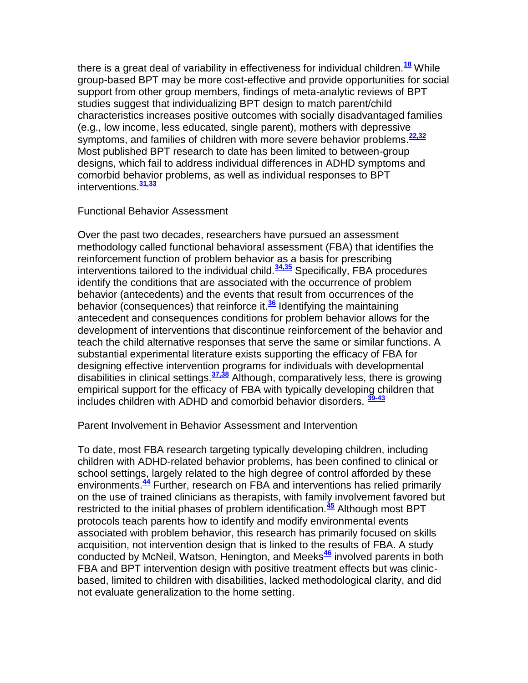there is a great deal of variability in effectiveness for individual children.**[18](http://snrs.org/publications/SOJNR_articles2/n)** While group-based BPT may be more cost-effective and provide opportunities for social support from other group members, findings of meta-analytic reviews of BPT studies suggest that individualizing BPT design to match parent/child characteristics increases positive outcomes with socially disadvantaged families (e.g., low income, less educated, single parent), mothers with depressive symptoms, and families of children with more severe behavior problems. **[22,32](http://snrs.org/publications/SOJNR_articles2/n)** Most published BPT research to date has been limited to between-group designs, which fail to address individual differences in ADHD symptoms and comorbid behavior problems, as well as individual responses to BPT interventions.**[31,33](http://snrs.org/publications/SOJNR_articles2/n)**

#### Functional Behavior Assessment

Over the past two decades, researchers have pursued an assessment methodology called functional behavioral assessment (FBA) that identifies the reinforcement function of problem behavior as a basis for prescribing interventions tailored to the individual child.**[34,35](http://snrs.org/publications/SOJNR_articles2/n)** Specifically, FBA procedures identify the conditions that are associated with the occurrence of problem behavior (antecedents) and the events that result from occurrences of the behavior (consequences) that reinforce it.**[36](http://snrs.org/publications/SOJNR_articles2/n)** Identifying the maintaining antecedent and consequences conditions for problem behavior allows for the development of interventions that discontinue reinforcement of the behavior and teach the child alternative responses that serve the same or similar functions. A substantial experimental literature exists supporting the efficacy of FBA for designing effective intervention programs for individuals with developmental disabilities in clinical settings.**[37,38](http://snrs.org/publications/SOJNR_articles2/n)** Although, comparatively less, there is growing empirical support for the efficacy of FBA with typically developing children that includes children with ADHD and comorbid behavior disorders. <sup>3</sup>

Parent Involvement in Behavior Assessment and Intervention

To date, most FBA research targeting typically developing children, including children with ADHD-related behavior problems, has been confined to clinical or school settings, largely related to the high degree of control afforded by these environments.**[44](http://snrs.org/publications/SOJNR_articles2/n)** Further, research on FBA and interventions has relied primarily on the use of trained clinicians as therapists, with family involvement favored but restricted to the initial phases of problem identification.**[45](http://snrs.org/publications/SOJNR_articles2/n)** Although most BPT protocols teach parents how to identify and modify environmental events associated with problem behavior, this research has primarily focused on skills acquisition, not intervention design that is linked to the results of FBA. A study conducted by McNeil, Watson, Henington, and Meeks**[46](http://snrs.org/publications/SOJNR_articles2/n)** involved parents in both FBA and BPT intervention design with positive treatment effects but was clinicbased, limited to children with disabilities, lacked methodological clarity, and did not evaluate generalization to the home setting.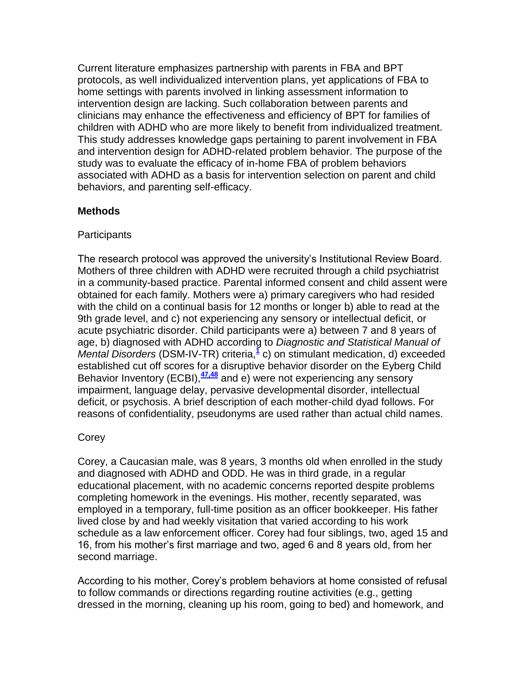Current literature emphasizes partnership with parents in FBA and BPT protocols, as well individualized intervention plans, yet applications of FBA to home settings with parents involved in linking assessment information to intervention design are lacking. Such collaboration between parents and clinicians may enhance the effectiveness and efficiency of BPT for families of children with ADHD who are more likely to benefit from individualized treatment. This study addresses knowledge gaps pertaining to parent involvement in FBA and intervention design for ADHD-related problem behavior. The purpose of the study was to evaluate the efficacy of in-home FBA of problem behaviors associated with ADHD as a basis for intervention selection on parent and child behaviors, and parenting self-efficacy.

## **Methods**

#### **Participants**

The research protocol was approved the university's Institutional Review Board. Mothers of three children with ADHD were recruited through a child psychiatrist in a community-based practice. Parental informed consent and child assent were obtained for each family. Mothers were a) primary caregivers who had resided with the child on a continual basis for 12 months or longer b) able to read at the 9th grade level, and c) not experiencing any sensory or intellectual deficit, or acute psychiatric disorder. Child participants were a) between 7 and 8 years of age, b) diagnosed with ADHD according to *Diagnostic and Statistical Manual of*  Mental Disorders (DSM-IV-TR) criteria[,](http://snrs.org/publications/SOJNR_articles2/n)<sup>1</sup> c) on stimulant medication, d) exceeded established cut off scores for a disruptive behavior disorder on the Eyberg Child Behavior Inventory (ECBI),**[47,48](http://snrs.org/publications/SOJNR_articles2/n)** and e) were not experiencing any sensory impairment, language delay, pervasive developmental disorder, intellectual deficit, or psychosis. A brief description of each mother-child dyad follows. For reasons of confidentiality, pseudonyms are used rather than actual child names.

#### **Corey**

Corey, a Caucasian male, was 8 years, 3 months old when enrolled in the study and diagnosed with ADHD and ODD. He was in third grade, in a regular educational placement, with no academic concerns reported despite problems completing homework in the evenings. His mother, recently separated, was employed in a temporary, full-time position as an officer bookkeeper. His father lived close by and had weekly visitation that varied according to his work schedule as a law enforcement officer. Corey had four siblings, two, aged 15 and 16, from his mother's first marriage and two, aged 6 and 8 years old, from her second marriage.

According to his mother, Corey's problem behaviors at home consisted of refusal to follow commands or directions regarding routine activities (e.g., getting dressed in the morning, cleaning up his room, going to bed) and homework, and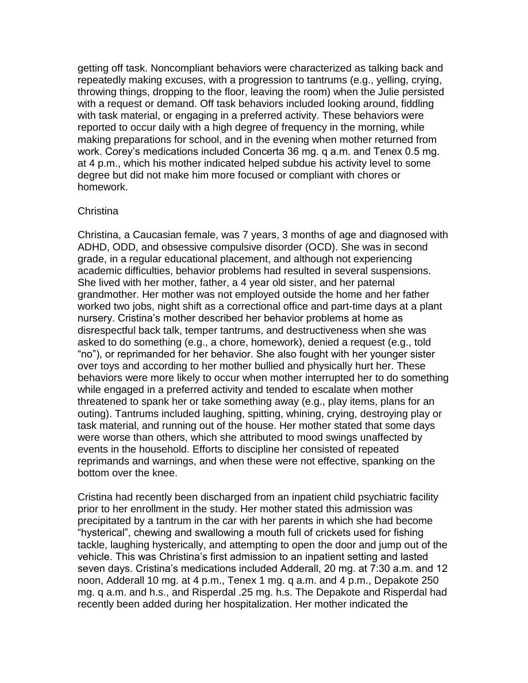getting off task. Noncompliant behaviors were characterized as talking back and repeatedly making excuses, with a progression to tantrums (e.g., yelling, crying, throwing things, dropping to the floor, leaving the room) when the Julie persisted with a request or demand. Off task behaviors included looking around, fiddling with task material, or engaging in a preferred activity. These behaviors were reported to occur daily with a high degree of frequency in the morning, while making preparations for school, and in the evening when mother returned from work. Corey's medications included Concerta 36 mg. q a.m. and Tenex 0.5 mg. at 4 p.m., which his mother indicated helped subdue his activity level to some degree but did not make him more focused or compliant with chores or homework.

#### Christina

Christina, a Caucasian female, was 7 years, 3 months of age and diagnosed with ADHD, ODD, and obsessive compulsive disorder (OCD). She was in second grade, in a regular educational placement, and although not experiencing academic difficulties, behavior problems had resulted in several suspensions. She lived with her mother, father, a 4 year old sister, and her paternal grandmother. Her mother was not employed outside the home and her father worked two jobs, night shift as a correctional office and part-time days at a plant nursery. Cristina's mother described her behavior problems at home as disrespectful back talk, temper tantrums, and destructiveness when she was asked to do something (e.g., a chore, homework), denied a request (e.g., told "no"), or reprimanded for her behavior. She also fought with her younger sister over toys and according to her mother bullied and physically hurt her. These behaviors were more likely to occur when mother interrupted her to do something while engaged in a preferred activity and tended to escalate when mother threatened to spank her or take something away (e.g., play items, plans for an outing). Tantrums included laughing, spitting, whining, crying, destroying play or task material, and running out of the house. Her mother stated that some days were worse than others, which she attributed to mood swings unaffected by events in the household. Efforts to discipline her consisted of repeated reprimands and warnings, and when these were not effective, spanking on the bottom over the knee.

Cristina had recently been discharged from an inpatient child psychiatric facility prior to her enrollment in the study. Her mother stated this admission was precipitated by a tantrum in the car with her parents in which she had become "hysterical", chewing and swallowing a mouth full of crickets used for fishing tackle, laughing hysterically, and attempting to open the door and jump out of the vehicle. This was Christina's first admission to an inpatient setting and lasted seven days. Cristina's medications included Adderall, 20 mg. at 7:30 a.m. and 12 noon, Adderall 10 mg. at 4 p.m., Tenex 1 mg. q a.m. and 4 p.m., Depakote 250 mg. q a.m. and h.s., and Risperdal .25 mg. h.s. The Depakote and Risperdal had recently been added during her hospitalization. Her mother indicated the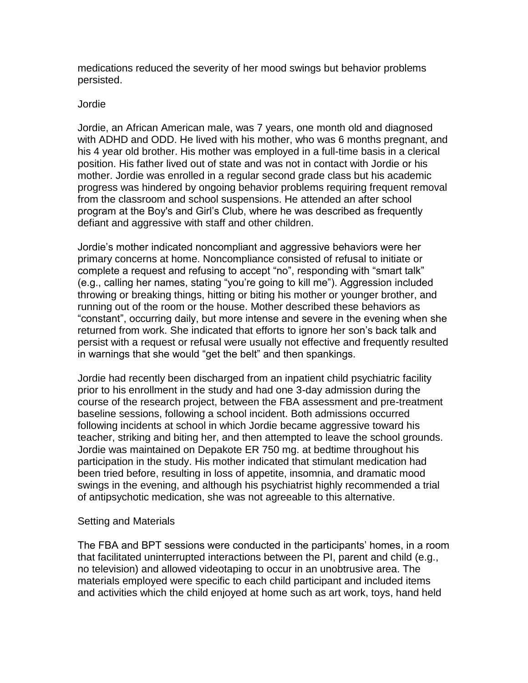medications reduced the severity of her mood swings but behavior problems persisted.

#### Jordie

Jordie, an African American male, was 7 years, one month old and diagnosed with ADHD and ODD. He lived with his mother, who was 6 months pregnant, and his 4 year old brother. His mother was employed in a full-time basis in a clerical position. His father lived out of state and was not in contact with Jordie or his mother. Jordie was enrolled in a regular second grade class but his academic progress was hindered by ongoing behavior problems requiring frequent removal from the classroom and school suspensions. He attended an after school program at the Boy's and Girl's Club, where he was described as frequently defiant and aggressive with staff and other children.

Jordie's mother indicated noncompliant and aggressive behaviors were her primary concerns at home. Noncompliance consisted of refusal to initiate or complete a request and refusing to accept "no", responding with "smart talk" (e.g., calling her names, stating "you're going to kill me"). Aggression included throwing or breaking things, hitting or biting his mother or younger brother, and running out of the room or the house. Mother described these behaviors as "constant", occurring daily, but more intense and severe in the evening when she returned from work. She indicated that efforts to ignore her son's back talk and persist with a request or refusal were usually not effective and frequently resulted in warnings that she would "get the belt" and then spankings.

Jordie had recently been discharged from an inpatient child psychiatric facility prior to his enrollment in the study and had one 3-day admission during the course of the research project, between the FBA assessment and pre-treatment baseline sessions, following a school incident. Both admissions occurred following incidents at school in which Jordie became aggressive toward his teacher, striking and biting her, and then attempted to leave the school grounds. Jordie was maintained on Depakote ER 750 mg. at bedtime throughout his participation in the study. His mother indicated that stimulant medication had been tried before, resulting in loss of appetite, insomnia, and dramatic mood swings in the evening, and although his psychiatrist highly recommended a trial of antipsychotic medication, she was not agreeable to this alternative.

#### Setting and Materials

The FBA and BPT sessions were conducted in the participants' homes, in a room that facilitated uninterrupted interactions between the PI, parent and child (e.g., no television) and allowed videotaping to occur in an unobtrusive area. The materials employed were specific to each child participant and included items and activities which the child enjoyed at home such as art work, toys, hand held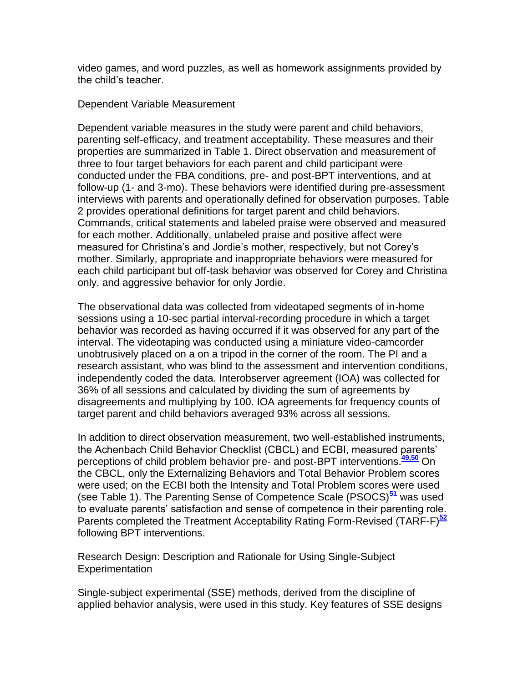video games, and word puzzles, as well as homework assignments provided by the child's teacher.

#### Dependent Variable Measurement

Dependent variable measures in the study were parent and child behaviors, parenting self-efficacy, and treatment acceptability. These measures and their properties are summarized in Table 1. Direct observation and measurement of three to four target behaviors for each parent and child participant were conducted under the FBA conditions, pre- and post-BPT interventions, and at follow-up (1- and 3-mo). These behaviors were identified during pre-assessment interviews with parents and operationally defined for observation purposes. Table 2 provides operational definitions for target parent and child behaviors. Commands, critical statements and labeled praise were observed and measured for each mother. Additionally, unlabeled praise and positive affect were measured for Christina's and Jordie's mother, respectively, but not Corey's mother. Similarly, appropriate and inappropriate behaviors were measured for each child participant but off-task behavior was observed for Corey and Christina only, and aggressive behavior for only Jordie.

The observational data was collected from videotaped segments of in-home sessions using a 10-sec partial interval-recording procedure in which a target behavior was recorded as having occurred if it was observed for any part of the interval. The videotaping was conducted using a miniature video-camcorder unobtrusively placed on a on a tripod in the corner of the room. The PI and a research assistant, who was blind to the assessment and intervention conditions, independently coded the data. Interobserver agreement (IOA) was collected for 36% of all sessions and calculated by dividing the sum of agreements by disagreements and multiplying by 100. IOA agreements for frequency counts of target parent and child behaviors averaged 93% across all sessions.

In addition to direct observation measurement, two well-established instruments, the Achenbach Child Behavior Checklist (CBCL) and ECBI, measured parents' perceptions of child problem behavior pre- and post-BPT interventions.**[49,50](http://snrs.org/publications/SOJNR_articles2/n)** On the CBCL, only the Externalizing Behaviors and Total Behavior Problem scores were used; on the ECBI both the Intensity and Total Problem scores were used (see Table 1). The Parenting Sense of Competence Scale (PSOCS)**[51](http://snrs.org/publications/SOJNR_articles2/n)** was used to evaluate parents' satisfaction and sense of competence in their parenting role. Parents completed the Treatment Acceptability Rating Form-Revised (TARF-F)<sup>32</sup> following BPT interventions.

Research Design: Description and Rationale for Using Single-Subject **Experimentation** 

Single-subject experimental (SSE) methods, derived from the discipline of applied behavior analysis, were used in this study. Key features of SSE designs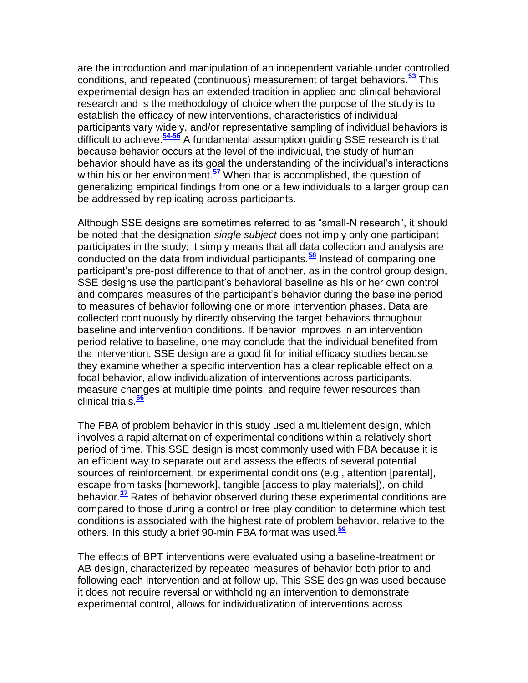are the introduction and manipulation of an independent variable under controlled conditions, and repeated (continuous) measurement of target behaviors.**[53](http://snrs.org/publications/SOJNR_articles2/n)** This experimental design has an extended tradition in applied and clinical behavioral research and is the methodology of choice when the purpose of the study is to establish the efficacy of new interventions, characteristics of individual participants vary widely, and/or representative sampling of individual behaviors is difficult to achieve.**[54-56](http://snrs.org/publications/SOJNR_articles2/n)** A fundamental assumption guiding SSE research is that because behavior occurs at the level of the individual, the study of human behavior should have as its goal the understanding of the individual's interactions within his or her environment.**[57](http://snrs.org/publications/SOJNR_articles2/n)** When that is accomplished, the question of generalizing empirical findings from one or a few individuals to a larger group can be addressed by replicating across participants.

Although SSE designs are sometimes referred to as "small-N research", it should be noted that the designation *single subject* does not imply only one participant participates in the study; it simply means that all data collection and analysis are conducted on the data from individual participants.**[58](http://snrs.org/publications/SOJNR_articles2/n)** Instead of comparing one participant's pre-post difference to that of another, as in the control group design, SSE designs use the participant's behavioral baseline as his or her own control and compares measures of the participant's behavior during the baseline period to measures of behavior following one or more intervention phases. Data are collected continuously by directly observing the target behaviors throughout baseline and intervention conditions. If behavior improves in an intervention period relative to baseline, one may conclude that the individual benefited from the intervention. SSE design are a good fit for initial efficacy studies because they examine whether a specific intervention has a clear replicable effect on a focal behavior, allow individualization of interventions across participants, measure changes at multiple time points, and require fewer resources than clinical trials.**[56](http://snrs.org/publications/SOJNR_articles2/n)**

The FBA of problem behavior in this study used a multielement design, which involves a rapid alternation of experimental conditions within a relatively short period of time. This SSE design is most commonly used with FBA because it is an efficient way to separate out and assess the effects of several potential sources of reinforcement, or experimental conditions (e.g., attention [parental], escape from tasks [homework], tangible [access to play materials]), on child behavior.**[37](http://snrs.org/publications/SOJNR_articles2/n)** Rates of behavior observed during these experimental conditions are compared to those during a control or free play condition to determine which test conditions is associated with the highest rate of problem behavior, relative to the others. In this study a brief 90-min FBA format was used.**[59](http://snrs.org/publications/SOJNR_articles2/n)**

The effects of BPT interventions were evaluated using a baseline-treatment or AB design, characterized by repeated measures of behavior both prior to and following each intervention and at follow-up. This SSE design was used because it does not require reversal or withholding an intervention to demonstrate experimental control, allows for individualization of interventions across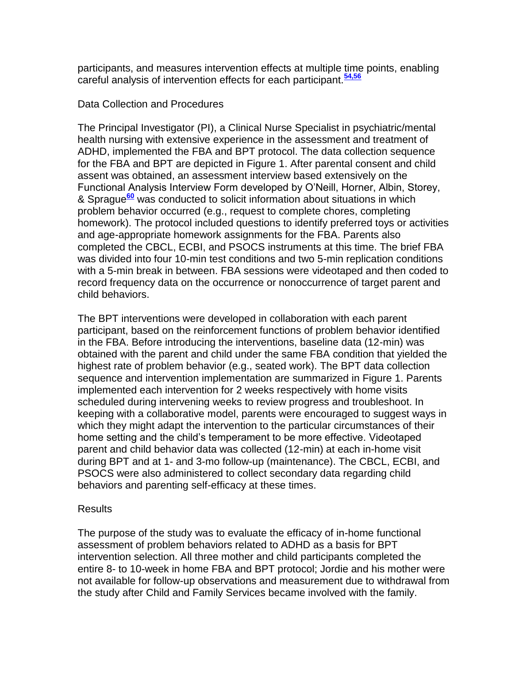participants, and measures intervention effects at multiple time points, enabling careful analysis of intervention effects for each participant.**[54,56](http://snrs.org/publications/SOJNR_articles2/n)**

#### Data Collection and Procedures

The Principal Investigator (PI), a Clinical Nurse Specialist in psychiatric/mental health nursing with extensive experience in the assessment and treatment of ADHD, implemented the FBA and BPT protocol. The data collection sequence for the FBA and BPT are depicted in Figure 1. After parental consent and child assent was obtained, an assessment interview based extensively on the Functional Analysis Interview Form developed by O'Neill, Horner, Albin, Storey, & Sprague**[60](http://snrs.org/publications/SOJNR_articles2/n)** was conducted to solicit information about situations in which problem behavior occurred (e.g., request to complete chores, completing homework). The protocol included questions to identify preferred toys or activities and age-appropriate homework assignments for the FBA. Parents also completed the CBCL, ECBI, and PSOCS instruments at this time. The brief FBA was divided into four 10-min test conditions and two 5-min replication conditions with a 5-min break in between. FBA sessions were videotaped and then coded to record frequency data on the occurrence or nonoccurrence of target parent and child behaviors.

The BPT interventions were developed in collaboration with each parent participant, based on the reinforcement functions of problem behavior identified in the FBA. Before introducing the interventions, baseline data (12-min) was obtained with the parent and child under the same FBA condition that yielded the highest rate of problem behavior (e.g., seated work). The BPT data collection sequence and intervention implementation are summarized in Figure 1. Parents implemented each intervention for 2 weeks respectively with home visits scheduled during intervening weeks to review progress and troubleshoot. In keeping with a collaborative model, parents were encouraged to suggest ways in which they might adapt the intervention to the particular circumstances of their home setting and the child's temperament to be more effective. Videotaped parent and child behavior data was collected (12-min) at each in-home visit during BPT and at 1- and 3-mo follow-up (maintenance). The CBCL, ECBI, and PSOCS were also administered to collect secondary data regarding child behaviors and parenting self-efficacy at these times.

#### Results

The purpose of the study was to evaluate the efficacy of in-home functional assessment of problem behaviors related to ADHD as a basis for BPT intervention selection. All three mother and child participants completed the entire 8- to 10-week in home FBA and BPT protocol; Jordie and his mother were not available for follow-up observations and measurement due to withdrawal from the study after Child and Family Services became involved with the family.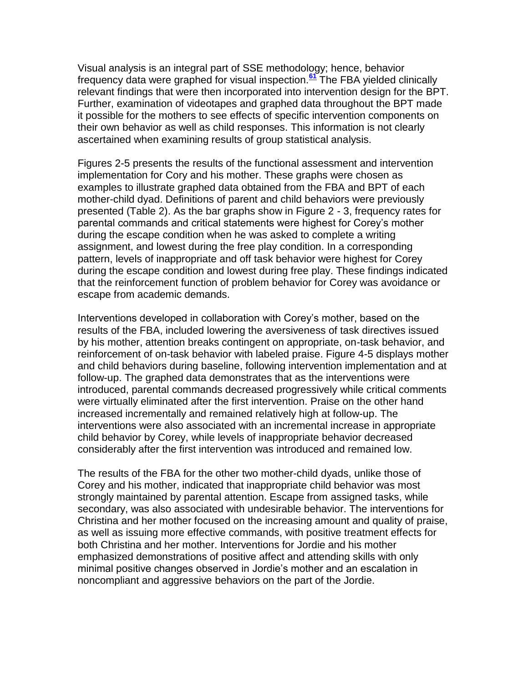Visual analysis is an integral part of SSE methodology; hence, behavior frequency data were graphed for visual inspection.**[61](http://snrs.org/publications/SOJNR_articles2/n)** The FBA yielded clinically relevant findings that were then incorporated into intervention design for the BPT. Further, examination of videotapes and graphed data throughout the BPT made it possible for the mothers to see effects of specific intervention components on their own behavior as well as child responses. This information is not clearly ascertained when examining results of group statistical analysis.

Figures 2-5 presents the results of the functional assessment and intervention implementation for Cory and his mother. These graphs were chosen as examples to illustrate graphed data obtained from the FBA and BPT of each mother-child dyad. Definitions of parent and child behaviors were previously presented (Table 2). As the bar graphs show in Figure 2 - 3, frequency rates for parental commands and critical statements were highest for Corey's mother during the escape condition when he was asked to complete a writing assignment, and lowest during the free play condition. In a corresponding pattern, levels of inappropriate and off task behavior were highest for Corey during the escape condition and lowest during free play. These findings indicated that the reinforcement function of problem behavior for Corey was avoidance or escape from academic demands.

Interventions developed in collaboration with Corey's mother, based on the results of the FBA, included lowering the aversiveness of task directives issued by his mother, attention breaks contingent on appropriate, on-task behavior, and reinforcement of on-task behavior with labeled praise. Figure 4-5 displays mother and child behaviors during baseline, following intervention implementation and at follow-up. The graphed data demonstrates that as the interventions were introduced, parental commands decreased progressively while critical comments were virtually eliminated after the first intervention. Praise on the other hand increased incrementally and remained relatively high at follow-up. The interventions were also associated with an incremental increase in appropriate child behavior by Corey, while levels of inappropriate behavior decreased considerably after the first intervention was introduced and remained low.

The results of the FBA for the other two mother-child dyads, unlike those of Corey and his mother, indicated that inappropriate child behavior was most strongly maintained by parental attention. Escape from assigned tasks, while secondary, was also associated with undesirable behavior. The interventions for Christina and her mother focused on the increasing amount and quality of praise, as well as issuing more effective commands, with positive treatment effects for both Christina and her mother. Interventions for Jordie and his mother emphasized demonstrations of positive affect and attending skills with only minimal positive changes observed in Jordie's mother and an escalation in noncompliant and aggressive behaviors on the part of the Jordie.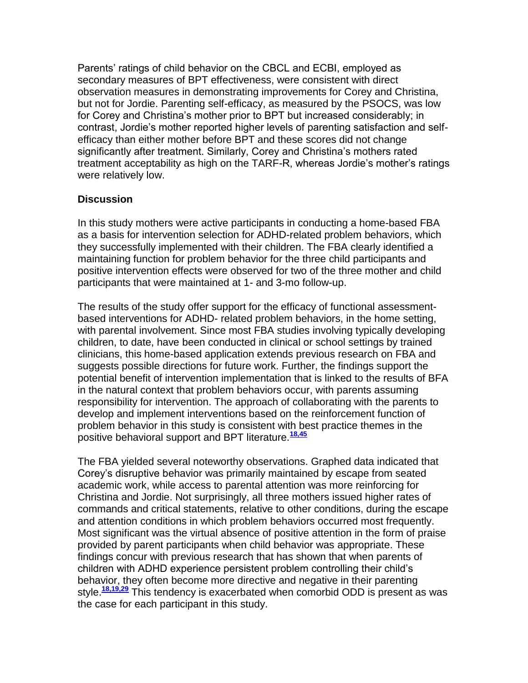Parents' ratings of child behavior on the CBCL and ECBI, employed as secondary measures of BPT effectiveness, were consistent with direct observation measures in demonstrating improvements for Corey and Christina, but not for Jordie. Parenting self-efficacy, as measured by the PSOCS, was low for Corey and Christina's mother prior to BPT but increased considerably; in contrast, Jordie's mother reported higher levels of parenting satisfaction and selfefficacy than either mother before BPT and these scores did not change significantly after treatment. Similarly, Corey and Christina's mothers rated treatment acceptability as high on the TARF-R, whereas Jordie's mother's ratings were relatively low.

## **Discussion**

In this study mothers were active participants in conducting a home-based FBA as a basis for intervention selection for ADHD-related problem behaviors, which they successfully implemented with their children. The FBA clearly identified a maintaining function for problem behavior for the three child participants and positive intervention effects were observed for two of the three mother and child participants that were maintained at 1- and 3-mo follow-up.

The results of the study offer support for the efficacy of functional assessmentbased interventions for ADHD- related problem behaviors, in the home setting, with parental involvement. Since most FBA studies involving typically developing children, to date, have been conducted in clinical or school settings by trained clinicians, this home-based application extends previous research on FBA and suggests possible directions for future work. Further, the findings support the potential benefit of intervention implementation that is linked to the results of BFA in the natural context that problem behaviors occur, with parents assuming responsibility for intervention. The approach of collaborating with the parents to develop and implement interventions based on the reinforcement function of problem behavior in this study is consistent with best practice themes in the positive behavioral support and BPT literature.**[18,45](http://snrs.org/publications/SOJNR_articles2/n)**

The FBA yielded several noteworthy observations. Graphed data indicated that Corey's disruptive behavior was primarily maintained by escape from seated academic work, while access to parental attention was more reinforcing for Christina and Jordie. Not surprisingly, all three mothers issued higher rates of commands and critical statements, relative to other conditions, during the escape and attention conditions in which problem behaviors occurred most frequently. Most significant was the virtual absence of positive attention in the form of praise provided by parent participants when child behavior was appropriate. These findings concur with previous research that has shown that when parents of children with ADHD experience persistent problem controlling their child's behavior, they often become more directive and negative in their parenting style.**[18,19,29](http://snrs.org/publications/SOJNR_articles2/n)** This tendency is exacerbated when comorbid ODD is present as was the case for each participant in this study.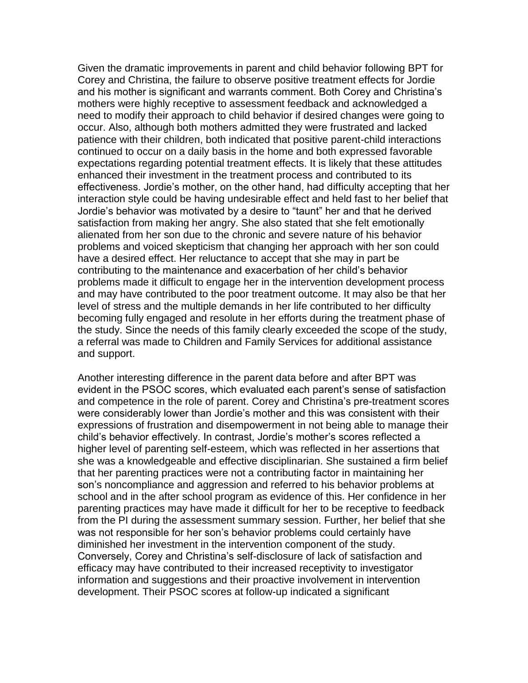Given the dramatic improvements in parent and child behavior following BPT for Corey and Christina, the failure to observe positive treatment effects for Jordie and his mother is significant and warrants comment. Both Corey and Christina's mothers were highly receptive to assessment feedback and acknowledged a need to modify their approach to child behavior if desired changes were going to occur. Also, although both mothers admitted they were frustrated and lacked patience with their children, both indicated that positive parent-child interactions continued to occur on a daily basis in the home and both expressed favorable expectations regarding potential treatment effects. It is likely that these attitudes enhanced their investment in the treatment process and contributed to its effectiveness. Jordie's mother, on the other hand, had difficulty accepting that her interaction style could be having undesirable effect and held fast to her belief that Jordie's behavior was motivated by a desire to "taunt" her and that he derived satisfaction from making her angry. She also stated that she felt emotionally alienated from her son due to the chronic and severe nature of his behavior problems and voiced skepticism that changing her approach with her son could have a desired effect. Her reluctance to accept that she may in part be contributing to the maintenance and exacerbation of her child's behavior problems made it difficult to engage her in the intervention development process and may have contributed to the poor treatment outcome. It may also be that her level of stress and the multiple demands in her life contributed to her difficulty becoming fully engaged and resolute in her efforts during the treatment phase of the study. Since the needs of this family clearly exceeded the scope of the study, a referral was made to Children and Family Services for additional assistance and support.

Another interesting difference in the parent data before and after BPT was evident in the PSOC scores, which evaluated each parent's sense of satisfaction and competence in the role of parent. Corey and Christina's pre-treatment scores were considerably lower than Jordie's mother and this was consistent with their expressions of frustration and disempowerment in not being able to manage their child's behavior effectively. In contrast, Jordie's mother's scores reflected a higher level of parenting self-esteem, which was reflected in her assertions that she was a knowledgeable and effective disciplinarian. She sustained a firm belief that her parenting practices were not a contributing factor in maintaining her son's noncompliance and aggression and referred to his behavior problems at school and in the after school program as evidence of this. Her confidence in her parenting practices may have made it difficult for her to be receptive to feedback from the PI during the assessment summary session. Further, her belief that she was not responsible for her son's behavior problems could certainly have diminished her investment in the intervention component of the study. Conversely, Corey and Christina's self-disclosure of lack of satisfaction and efficacy may have contributed to their increased receptivity to investigator information and suggestions and their proactive involvement in intervention development. Their PSOC scores at follow-up indicated a significant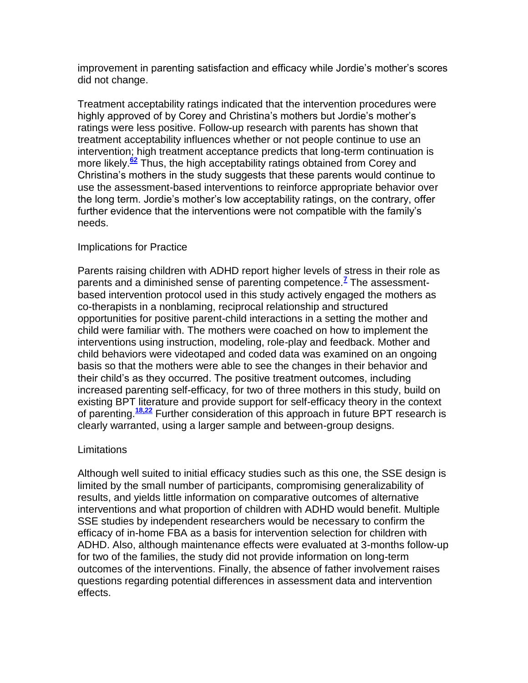improvement in parenting satisfaction and efficacy while Jordie's mother's scores did not change.

Treatment acceptability ratings indicated that the intervention procedures were highly approved of by Corey and Christina's mothers but Jordie's mother's ratings were less positive. Follow-up research with parents has shown that treatment acceptability influences whether or not people continue to use an intervention; high treatment acceptance predicts that long-term continuation is more likely.**[62](http://snrs.org/publications/SOJNR_articles2/n)** Thus, the high acceptability ratings obtained from Corey and Christina's mothers in the study suggests that these parents would continue to use the assessment-based interventions to reinforce appropriate behavior over the long term. Jordie's mother's low acceptability ratings, on the contrary, offer further evidence that the interventions were not compatible with the family's needs.

#### Implications for Practice

Parents raising children with ADHD report higher levels of stress in their role as parents and a diminished sense of parenting competence.**[7](http://snrs.org/publications/SOJNR_articles2/n)** The assessmentbased intervention protocol used in this study actively engaged the mothers as co-therapists in a nonblaming, reciprocal relationship and structured opportunities for positive parent-child interactions in a setting the mother and child were familiar with. The mothers were coached on how to implement the interventions using instruction, modeling, role-play and feedback. Mother and child behaviors were videotaped and coded data was examined on an ongoing basis so that the mothers were able to see the changes in their behavior and their child's as they occurred. The positive treatment outcomes, including increased parenting self-efficacy, for two of three mothers in this study, build on existing BPT literature and provide support for self-efficacy theory in the context of parenting.**[18,22](http://snrs.org/publications/SOJNR_articles2/n)** Further consideration of this approach in future BPT research is clearly warranted, using a larger sample and between-group designs.

# Limitations

Although well suited to initial efficacy studies such as this one, the SSE design is limited by the small number of participants, compromising generalizability of results, and yields little information on comparative outcomes of alternative interventions and what proportion of children with ADHD would benefit. Multiple SSE studies by independent researchers would be necessary to confirm the efficacy of in-home FBA as a basis for intervention selection for children with ADHD. Also, although maintenance effects were evaluated at 3-months follow-up for two of the families, the study did not provide information on long-term outcomes of the interventions. Finally, the absence of father involvement raises questions regarding potential differences in assessment data and intervention effects.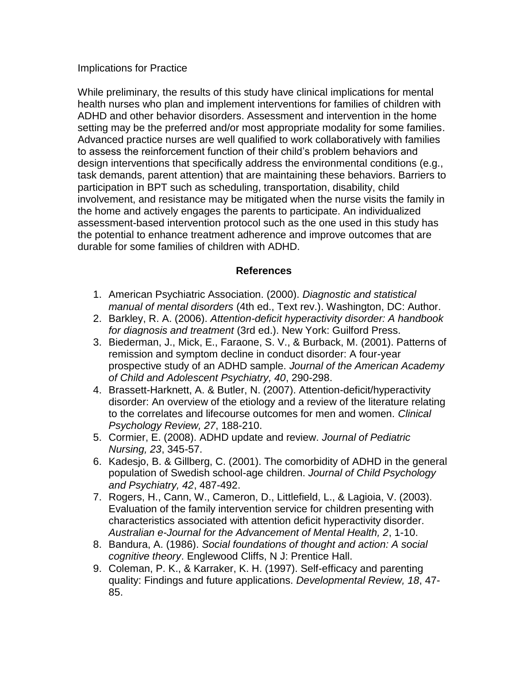#### Implications for Practice

While preliminary, the results of this study have clinical implications for mental health nurses who plan and implement interventions for families of children with ADHD and other behavior disorders. Assessment and intervention in the home setting may be the preferred and/or most appropriate modality for some families. Advanced practice nurses are well qualified to work collaboratively with families to assess the reinforcement function of their child's problem behaviors and design interventions that specifically address the environmental conditions (e.g., task demands, parent attention) that are maintaining these behaviors. Barriers to participation in BPT such as scheduling, transportation, disability, child involvement, and resistance may be mitigated when the nurse visits the family in the home and actively engages the parents to participate. An individualized assessment-based intervention protocol such as the one used in this study has the potential to enhance treatment adherence and improve outcomes that are durable for some families of children with ADHD.

## **References**

- 1. American Psychiatric Association. (2000). *Diagnostic and statistical manual of mental disorders* (4th ed., Text rev.). Washington, DC: Author.
- 2. Barkley, R. A. (2006). *Attention-deficit hyperactivity disorder: A handbook for diagnosis and treatment* (3rd ed.). New York: Guilford Press.
- 3. Biederman, J., Mick, E., Faraone, S. V., & Burback, M. (2001). Patterns of remission and symptom decline in conduct disorder: A four-year prospective study of an ADHD sample. *Journal of the American Academy of Child and Adolescent Psychiatry, 40*, 290-298.
- 4. Brassett-Harknett, A. & Butler, N. (2007). Attention-deficit/hyperactivity disorder: An overview of the etiology and a review of the literature relating to the correlates and lifecourse outcomes for men and women. *Clinical Psychology Review, 27*, 188-210.
- 5. Cormier, E. (2008). ADHD update and review. *Journal of Pediatric Nursing, 23*, 345-57.
- 6. Kadesjo, B. & Gillberg, C. (2001). The comorbidity of ADHD in the general population of Swedish school-age children. *Journal of Child Psychology and Psychiatry, 42*, 487-492.
- 7. Rogers, H., Cann, W., Cameron, D., Littlefield, L., & Lagioia, V. (2003). Evaluation of the family intervention service for children presenting with characteristics associated with attention deficit hyperactivity disorder. *Australian e-Journal for the Advancement of Mental Health, 2*, 1-10.
- 8. Bandura, A. (1986). *Social foundations of thought and action: A social cognitive theory*. Englewood Cliffs, N J: Prentice Hall.
- 9. Coleman, P. K., & Karraker, K. H. (1997). Self-efficacy and parenting quality: Findings and future applications. *Developmental Review, 18*, 47- 85.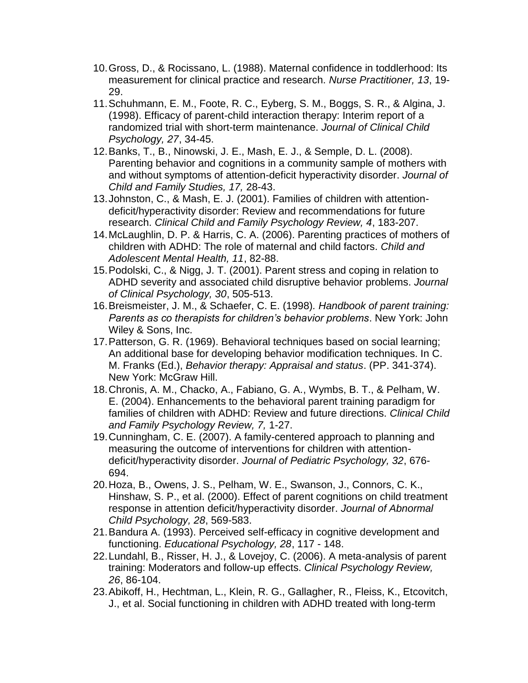- 10.Gross, D., & Rocissano, L. (1988). Maternal confidence in toddlerhood: Its measurement for clinical practice and research. *Nurse Practitioner, 13*, 19- 29.
- 11.Schuhmann, E. M., Foote, R. C., Eyberg, S. M., Boggs, S. R., & Algina, J. (1998). Efficacy of parent-child interaction therapy: Interim report of a randomized trial with short-term maintenance. *Journal of Clinical Child Psychology, 27*, 34-45.
- 12.Banks, T., B., Ninowski, J. E., Mash, E. J., & Semple, D. L. (2008). Parenting behavior and cognitions in a community sample of mothers with and without symptoms of attention-deficit hyperactivity disorder. *Journal of Child and Family Studies, 17,* 28-43.
- 13.Johnston, C., & Mash, E. J. (2001). Families of children with attentiondeficit/hyperactivity disorder: Review and recommendations for future research. *Clinical Child and Family Psychology Review, 4*, 183-207.
- 14.McLaughlin, D. P. & Harris, C. A. (2006). Parenting practices of mothers of children with ADHD: The role of maternal and child factors. *Child and Adolescent Mental Health, 11*, 82-88.
- 15.Podolski, C., & Nigg, J. T. (2001). Parent stress and coping in relation to ADHD severity and associated child disruptive behavior problems. *Journal of Clinical Psychology, 30*, 505-513.
- 16.Breismeister, J. M., & Schaefer, C. E. (1998)*. Handbook of parent training: Parents as co therapists for children's behavior problems*. New York: John Wiley & Sons, Inc.
- 17.Patterson, G. R. (1969). Behavioral techniques based on social learning; An additional base for developing behavior modification techniques. In C. M. Franks (Ed.), *Behavior therapy: Appraisal and status*. (PP. 341-374). New York: McGraw Hill.
- 18.Chronis, A. M., Chacko, A., Fabiano, G. A., Wymbs, B. T., & Pelham, W. E. (2004). Enhancements to the behavioral parent training paradigm for families of children with ADHD: Review and future directions. *Clinical Child and Family Psychology Review, 7,* 1-27.
- 19.Cunningham, C. E. (2007). A family-centered approach to planning and measuring the outcome of interventions for children with attentiondeficit/hyperactivity disorder. *Journal of Pediatric Psychology, 32*, 676- 694.
- 20.Hoza, B., Owens, J. S., Pelham, W. E., Swanson, J., Connors, C. K., Hinshaw, S. P., et al. (2000). Effect of parent cognitions on child treatment response in attention deficit/hyperactivity disorder. *Journal of Abnormal Child Psychology, 28*, 569-583.
- 21.Bandura A. (1993). Perceived self-efficacy in cognitive development and functioning. *Educational Psychology, 28*, 117 - 148.
- 22.Lundahl, B., Risser, H. J., & Lovejoy, C. (2006). A meta-analysis of parent training: Moderators and follow-up effects. *Clinical Psychology Review, 26*, 86-104.
- 23.Abikoff, H., Hechtman, L., Klein, R. G., Gallagher, R., Fleiss, K., Etcovitch, J., et al. Social functioning in children with ADHD treated with long-term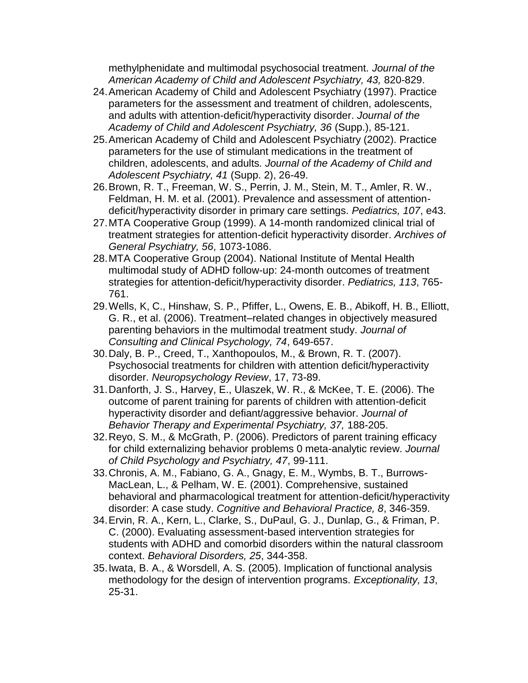methylphenidate and multimodal psychosocial treatment. *Journal of the American Academy of Child and Adolescent Psychiatry, 43,* 820-829.

- 24.American Academy of Child and Adolescent Psychiatry (1997). Practice parameters for the assessment and treatment of children, adolescents, and adults with attention-deficit/hyperactivity disorder. *Journal of the Academy of Child and Adolescent Psychiatry, 36* (Supp.), 85-121.
- 25.American Academy of Child and Adolescent Psychiatry (2002). Practice parameters for the use of stimulant medications in the treatment of children, adolescents, and adults. *Journal of the Academy of Child and Adolescent Psychiatry, 41* (Supp. 2), 26-49.
- 26.Brown, R. T., Freeman, W. S., Perrin, J. M., Stein, M. T., Amler, R. W., Feldman, H. M. et al. (2001). Prevalence and assessment of attentiondeficit/hyperactivity disorder in primary care settings. *Pediatrics, 107*, e43.
- 27.MTA Cooperative Group (1999). A 14-month randomized clinical trial of treatment strategies for attention-deficit hyperactivity disorder. *Archives of General Psychiatry, 56*, 1073-1086.
- 28.MTA Cooperative Group (2004). National Institute of Mental Health multimodal study of ADHD follow-up: 24-month outcomes of treatment strategies for attention-deficit/hyperactivity disorder. *Pediatrics, 113*, 765- 761.
- 29.Wells, K, C., Hinshaw, S. P., Pfiffer, L., Owens, E. B., Abikoff, H. B., Elliott, G. R., et al. (2006). Treatment–related changes in objectively measured parenting behaviors in the multimodal treatment study. *Journal of Consulting and Clinical Psychology, 74*, 649-657.
- 30.Daly, B. P., Creed, T., Xanthopoulos, M., & Brown, R. T. (2007). Psychosocial treatments for children with attention deficit/hyperactivity disorder. *Neuropsychology Review*, 17, 73-89.
- 31.Danforth, J. S., Harvey, E., Ulaszek, W. R., & McKee, T. E. (2006). The outcome of parent training for parents of children with attention-deficit hyperactivity disorder and defiant/aggressive behavior. *Journal of Behavior Therapy and Experimental Psychiatry, 37,* 188-205.
- 32.Reyo, S. M., & McGrath, P. (2006). Predictors of parent training efficacy for child externalizing behavior problems 0 meta-analytic review. *Journal of Child Psychology and Psychiatry, 47*, 99-111.
- 33.Chronis, A. M., Fabiano, G. A., Gnagy, E. M., Wymbs, B. T., Burrows-MacLean, L., & Pelham, W. E. (2001). Comprehensive, sustained behavioral and pharmacological treatment for attention-deficit/hyperactivity disorder: A case study. *Cognitive and Behavioral Practice, 8*, 346-359.
- 34.Ervin, R. A., Kern, L., Clarke, S., DuPaul, G. J., Dunlap, G., & Friman, P. C. (2000). Evaluating assessment-based intervention strategies for students with ADHD and comorbid disorders within the natural classroom context. *Behavioral Disorders, 25*, 344-358.
- 35.Iwata, B. A., & Worsdell, A. S. (2005). Implication of functional analysis methodology for the design of intervention programs. *Exceptionality, 13*, 25-31.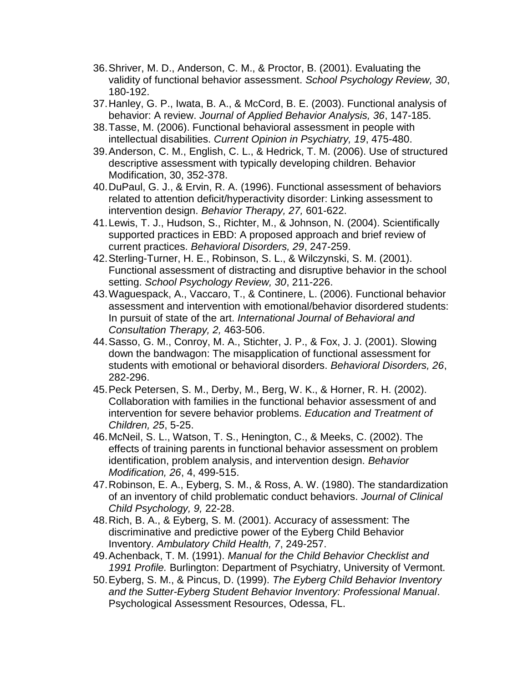- 36.Shriver, M. D., Anderson, C. M., & Proctor, B. (2001). Evaluating the validity of functional behavior assessment. *School Psychology Review, 30*, 180-192.
- 37.Hanley, G. P., Iwata, B. A., & McCord, B. E. (2003). Functional analysis of behavior: A review. *Journal of Applied Behavior Analysis, 36*, 147-185.
- 38.Tasse, M. (2006). Functional behavioral assessment in people with intellectual disabilities. *Current Opinion in Psychiatry, 19*, 475-480.
- 39.Anderson, C. M., English, C. L., & Hedrick, T. M. (2006). Use of structured descriptive assessment with typically developing children. Behavior Modification, 30, 352-378.
- 40.DuPaul, G. J., & Ervin, R. A. (1996). Functional assessment of behaviors related to attention deficit/hyperactivity disorder: Linking assessment to intervention design. *Behavior Therapy, 27,* 601-622.
- 41.Lewis, T. J., Hudson, S., Richter, M., & Johnson, N. (2004). Scientifically supported practices in EBD: A proposed approach and brief review of current practices. *Behavioral Disorders, 29*, 247-259.
- 42.Sterling-Turner, H. E., Robinson, S. L., & Wilczynski, S. M. (2001). Functional assessment of distracting and disruptive behavior in the school setting. *School Psychology Review, 30*, 211-226.
- 43.Waguespack, A., Vaccaro, T., & Continere, L. (2006). Functional behavior assessment and intervention with emotional/behavior disordered students: In pursuit of state of the art. *International Journal of Behavioral and Consultation Therapy, 2,* 463-506.
- 44.Sasso, G. M., Conroy, M. A., Stichter, J. P., & Fox, J. J. (2001). Slowing down the bandwagon: The misapplication of functional assessment for students with emotional or behavioral disorders. *Behavioral Disorders, 26*, 282-296.
- 45.Peck Petersen, S. M., Derby, M., Berg, W. K., & Horner, R. H. (2002). Collaboration with families in the functional behavior assessment of and intervention for severe behavior problems. *Education and Treatment of Children, 25*, 5-25.
- 46.McNeil, S. L., Watson, T. S., Henington, C., & Meeks, C. (2002). The effects of training parents in functional behavior assessment on problem identification, problem analysis, and intervention design. *Behavior Modification, 26*, 4, 499-515.
- 47.Robinson, E. A., Eyberg, S. M., & Ross, A. W. (1980). The standardization of an inventory of child problematic conduct behaviors. *Journal of Clinical Child Psychology, 9,* 22-28.
- 48.Rich, B. A., & Eyberg, S. M. (2001). Accuracy of assessment: The discriminative and predictive power of the Eyberg Child Behavior Inventory. *Ambulatory Child Health, 7*, 249-257.
- 49.Achenback, T. M. (1991). *Manual for the Child Behavior Checklist and 1991 Profile.* Burlington: Department of Psychiatry, University of Vermont.
- 50.Eyberg, S. M., & Pincus, D. (1999). *The Eyberg Child Behavior Inventory and the Sutter-Eyberg Student Behavior Inventory: Professional Manual*. Psychological Assessment Resources, Odessa, FL.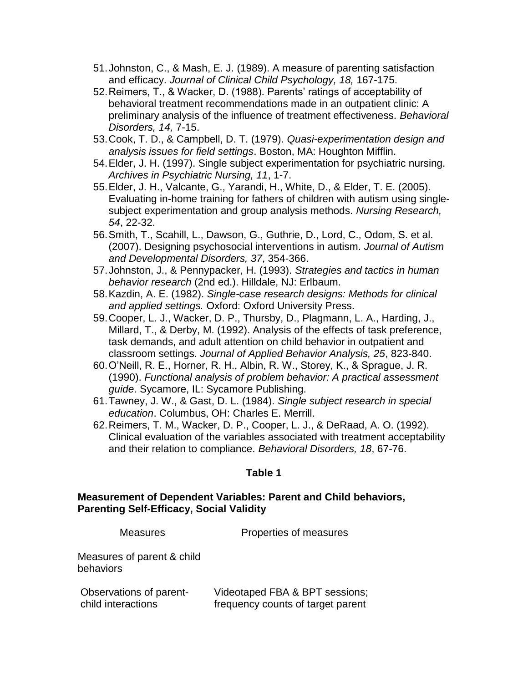- 51.Johnston, C., & Mash, E. J. (1989). A measure of parenting satisfaction and efficacy. *Journal of Clinical Child Psychology, 18,* 167-175.
- 52.Reimers, T., & Wacker, D. (1988). Parents' ratings of acceptability of behavioral treatment recommendations made in an outpatient clinic: A preliminary analysis of the influence of treatment effectiveness. *Behavioral Disorders, 14,* 7-15.
- 53.Cook, T. D., & Campbell, D. T. (1979). *Quasi-experimentation design and analysis issues for field settings*. Boston, MA: Houghton Mifflin.
- 54.Elder, J. H. (1997). Single subject experimentation for psychiatric nursing. *Archives in Psychiatric Nursing, 11*, 1-7.
- 55.Elder, J. H., Valcante, G., Yarandi, H., White, D., & Elder, T. E. (2005). Evaluating in-home training for fathers of children with autism using singlesubject experimentation and group analysis methods. *Nursing Research, 54*, 22-32.
- 56.Smith, T., Scahill, L., Dawson, G., Guthrie, D., Lord, C., Odom, S. et al. (2007). Designing psychosocial interventions in autism. *Journal of Autism and Developmental Disorders, 37*, 354-366.
- 57.Johnston, J., & Pennypacker, H. (1993). *Strategies and tactics in human behavior research* (2nd ed.). Hilldale, NJ: Erlbaum.
- 58.Kazdin, A. E. (1982). *Single-case research designs: Methods for clinical and applied settings.* Oxford: Oxford University Press.
- 59.Cooper, L. J., Wacker, D. P., Thursby, D., Plagmann, L. A., Harding, J., Millard, T., & Derby, M. (1992). Analysis of the effects of task preference, task demands, and adult attention on child behavior in outpatient and classroom settings. *Journal of Applied Behavior Analysis, 25*, 823-840.
- 60.O'Neill, R. E., Horner, R. H., Albin, R. W., Storey, K., & Sprague, J. R. (1990). *Functional analysis of problem behavior: A practical assessment guide*. Sycamore, IL: Sycamore Publishing.
- 61.Tawney, J. W., & Gast, D. L. (1984). *Single subject research in special education*. Columbus, OH: Charles E. Merrill.
- 62.Reimers, T. M., Wacker, D. P., Cooper, L. J., & DeRaad, A. O. (1992). Clinical evaluation of the variables associated with treatment acceptability and their relation to compliance. *Behavioral Disorders, 18*, 67-76.

# **Table 1**

## **Measurement of Dependent Variables: Parent and Child behaviors, Parenting Self-Efficacy, Social Validity**

| <b>Measures</b>                               | Properties of measures                                              |
|-----------------------------------------------|---------------------------------------------------------------------|
| Measures of parent & child<br>behaviors       |                                                                     |
| Observations of parent-<br>child interactions | Videotaped FBA & BPT sessions;<br>frequency counts of target parent |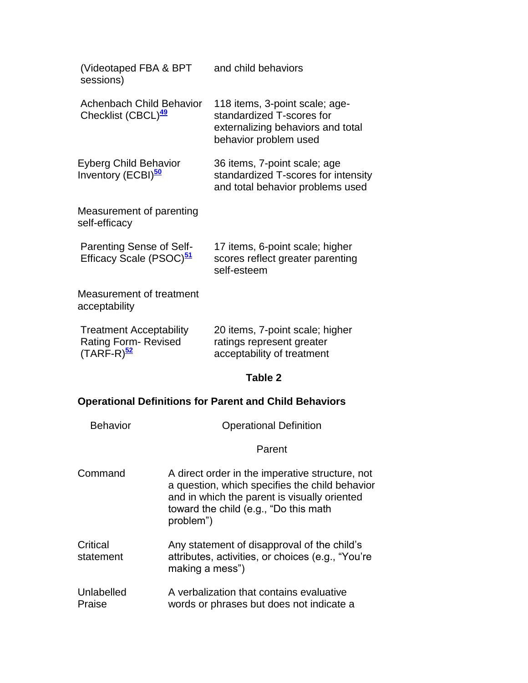| (Videotaped FBA & BPT<br>sessions)                                               | and child behaviors                                                                                                       |
|----------------------------------------------------------------------------------|---------------------------------------------------------------------------------------------------------------------------|
| <b>Achenbach Child Behavior</b><br>Checklist (CBCL) <sup>49</sup>                | 118 items, 3-point scale; age-<br>standardized T-scores for<br>externalizing behaviors and total<br>behavior problem used |
| Eyberg Child Behavior<br>Inventory (ECBI) <sup>50</sup>                          | 36 items, 7-point scale; age<br>standardized T-scores for intensity<br>and total behavior problems used                   |
| Measurement of parenting<br>self-efficacy                                        |                                                                                                                           |
| Parenting Sense of Self-<br>Efficacy Scale (PSOC) <sup>51</sup>                  | 17 items, 6-point scale; higher<br>scores reflect greater parenting<br>self-esteem                                        |
| Measurement of treatment<br>acceptability                                        |                                                                                                                           |
| <b>Treatment Acceptability</b><br><b>Rating Form- Revised</b><br>$(TARF-R)^{52}$ | 20 items, 7-point scale; higher<br>ratings represent greater<br>acceptability of treatment                                |
|                                                                                  |                                                                                                                           |

# **Table 2**

# **Operational Definitions for Parent and Child Behaviors**

| Behavior              | <b>Operational Definition</b>                                                                                                                                                                            |
|-----------------------|----------------------------------------------------------------------------------------------------------------------------------------------------------------------------------------------------------|
|                       | Parent                                                                                                                                                                                                   |
| Command               | A direct order in the imperative structure, not<br>a question, which specifies the child behavior<br>and in which the parent is visually oriented<br>toward the child (e.g., "Do this math"<br>problem") |
| Critical<br>statement | Any statement of disapproval of the child's<br>attributes, activities, or choices (e.g., "You're<br>making a mess")                                                                                      |
| Unlabelled<br>Praise  | A verbalization that contains evaluative<br>words or phrases but does not indicate a                                                                                                                     |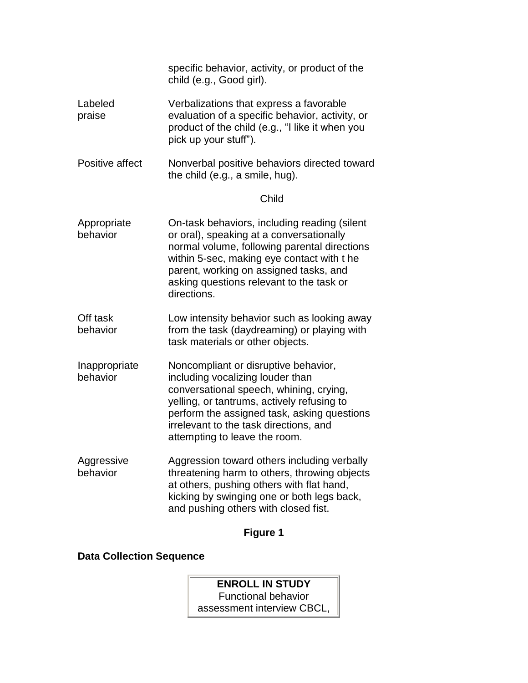|                           | specific behavior, activity, or product of the<br>child (e.g., Good girl).                                                                                                                                                                                                                  |
|---------------------------|---------------------------------------------------------------------------------------------------------------------------------------------------------------------------------------------------------------------------------------------------------------------------------------------|
| Labeled<br>praise         | Verbalizations that express a favorable<br>evaluation of a specific behavior, activity, or<br>product of the child (e.g., "I like it when you<br>pick up your stuff").                                                                                                                      |
| Positive affect           | Nonverbal positive behaviors directed toward<br>the child (e.g., a smile, hug).                                                                                                                                                                                                             |
|                           | Child                                                                                                                                                                                                                                                                                       |
| Appropriate<br>behavior   | On-task behaviors, including reading (silent<br>or oral), speaking at a conversationally<br>normal volume, following parental directions<br>within 5-sec, making eye contact with t he<br>parent, working on assigned tasks, and<br>asking questions relevant to the task or<br>directions. |
| Off task<br>behavior      | Low intensity behavior such as looking away<br>from the task (daydreaming) or playing with<br>task materials or other objects.                                                                                                                                                              |
| Inappropriate<br>behavior | Noncompliant or disruptive behavior,<br>including vocalizing louder than<br>conversational speech, whining, crying,<br>yelling, or tantrums, actively refusing to<br>perform the assigned task, asking questions<br>irrelevant to the task directions, and<br>attempting to leave the room. |
| Aggressive<br>behavior    | Aggression toward others including verbally<br>threatening harm to others, throwing objects<br>at others, pushing others with flat hand,<br>kicking by swinging one or both legs back,<br>and pushing others with closed fist.                                                              |

# **Figure 1**

# **Data Collection Sequence**

**ENROLL IN STUDY**  Functional behavior assessment interview CBCL,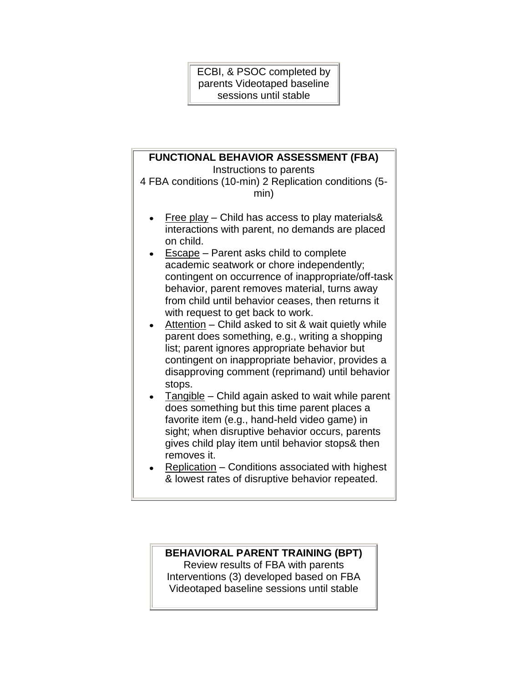ECBI, & PSOC completed by parents Videotaped baseline sessions until stable

#### **FUNCTIONAL BEHAVIOR ASSESSMENT (FBA)**

Instructions to parents 4 FBA conditions (10-min) 2 Replication conditions (5 min)

- Free play Child has access to play materials& interactions with parent, no demands are placed on child.
- Escape Parent asks child to complete academic seatwork or chore independently; contingent on occurrence of inappropriate/off-task behavior, parent removes material, turns away from child until behavior ceases, then returns it with request to get back to work.
- Attention Child asked to sit & wait quietly while parent does something, e.g., writing a shopping list; parent ignores appropriate behavior but contingent on inappropriate behavior, provides a disapproving comment (reprimand) until behavior stops.
- Tangible Child again asked to wait while parent  $\bullet$ does something but this time parent places a favorite item (e.g., hand-held video game) in sight; when disruptive behavior occurs, parents gives child play item until behavior stops& then removes it.
- Replication Conditions associated with highest  $\bullet$ & lowest rates of disruptive behavior repeated.

# **BEHAVIORAL PARENT TRAINING (BPT)**

Review results of FBA with parents Interventions (3) developed based on FBA Videotaped baseline sessions until stable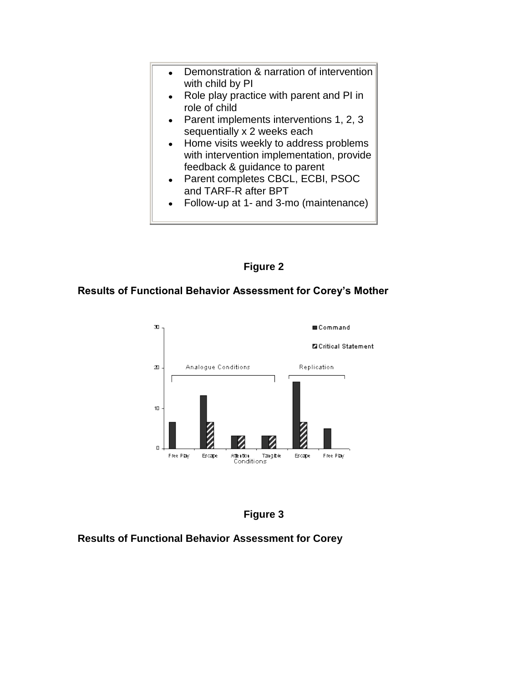- Demonstration & narration of intervention with child by PI
- Role play practice with parent and PI in role of child
- Parent implements interventions 1, 2, 3 sequentially x 2 weeks each
- Home visits weekly to address problems with intervention implementation, provide feedback & guidance to parent
- Parent completes CBCL, ECBI, PSOC and TARF-R after BPT
- Follow-up at 1- and 3-mo (maintenance)  $\bullet$ 
	- **Figure 2**

# **Results of Functional Behavior Assessment for Corey's Mother**





#### **Results of Functional Behavior Assessment for Corey**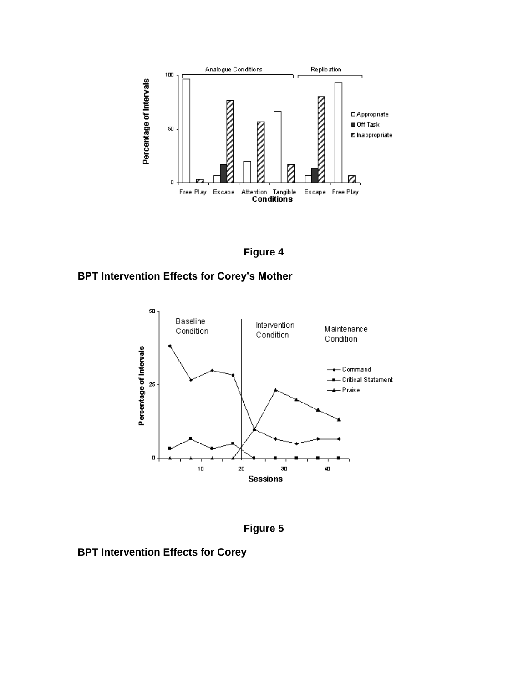



## **BPT Intervention Effects for Corey's Mother**



**Figure 5**

**BPT Intervention Effects for Corey**